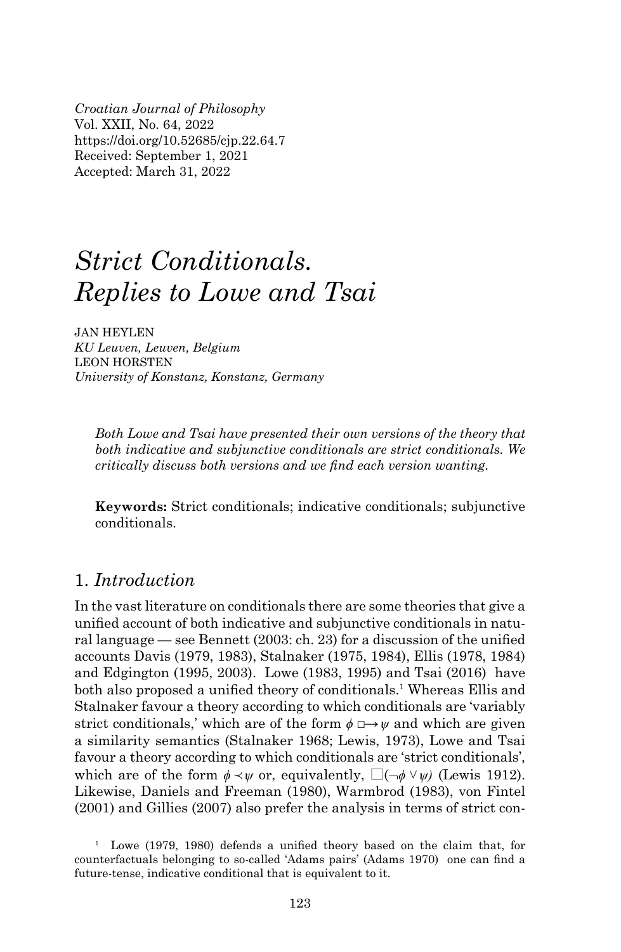*Croatian Journal of Philosophy* Vol. XXII, No. 64, 2022 https://doi.org/10.52685/cjp.22.64.7 Received: September 1, 2021 Accepted: March 31, 2022

# *Strict Conditionals. Replies to Lowe and Tsai*

JAN HEYLEN *KU Leuven, Leuven, Belgium* LEON HORSTEN *University of Konstanz, Konstanz, Germany*

*Both Lowe and Tsai have presented their own versions of the theory that both indicative and subjunctive conditionals are strict conditionals. We critically discuss both versions and we find each version wanting.* 

**Keywords:** Strict conditionals; indicative conditionals; subjunctive conditionals.

## 1. *Introduction*

In the vast literature on conditionals there are some theories that give a unified account of both indicative and subjunctive conditionals in natural language — see Bennett  $(2003:$  ch. 23) for a discussion of the unified accounts Davis (1979, 1983), Stalnaker (1975, 1984), Ellis (1978, 1984) and Edgington (1995, 2003). Lowe (1983, 1995) and Tsai (2016) have both also proposed a unified theory of conditionals.<sup>1</sup> Whereas Ellis and Stalnaker favour a theory according to which conditionals are 'variably strict conditionals,' which are of the form  $\phi \rightarrow \psi$  and which are given a similarity semantics (Stalnaker 1968; Lewis, 1973), Lowe and Tsai favour a theory according to which conditionals are 'strict conditionals', which are of the form  $\phi \prec \psi$  or, equivalently,  $\Box(\neg \phi \lor \psi)$  (Lewis 1912). Likewise, Daniels and Freeman (1980), Warmbrod (1983), von Fintel (2001) and Gillies (2007) also prefer the analysis in terms of strict con-

<sup>1</sup> Lowe (1979, 1980) defends a unified theory based on the claim that, for counterfactuals belonging to so-called 'Adams pairs' (Adams 1970) one can find a future-tense, indicative conditional that is equivalent to it.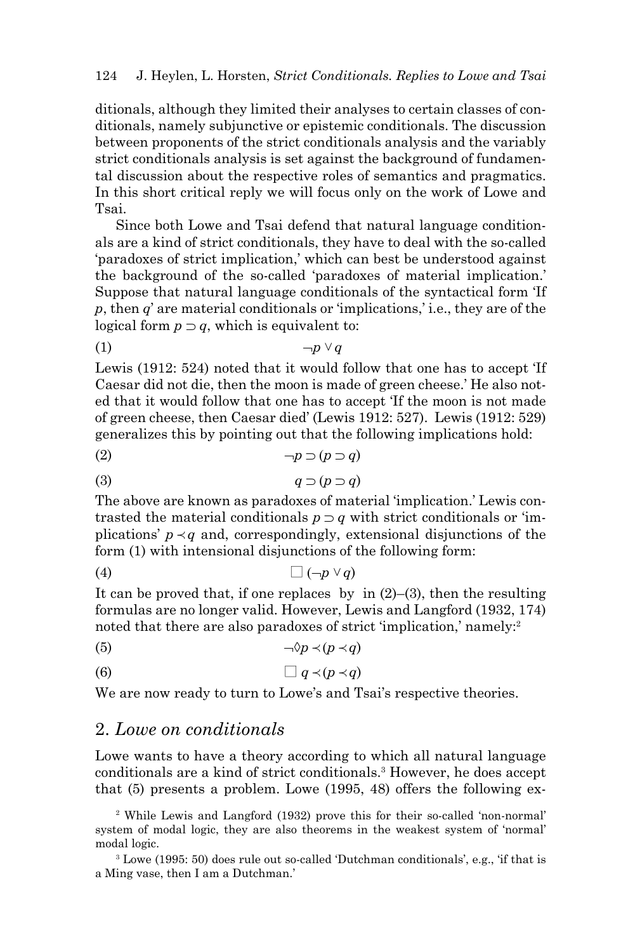ditionals, although they limited their analyses to certain classes of conditionals, namely subjunctive or epistemic conditionals. The discussion between proponents of the strict conditionals analysis and the variably strict conditionals analysis is set against the background of fundamental discussion about the respective roles of semantics and pragmatics. In this short critical reply we will focus only on the work of Lowe and Tsai.

Since both Lowe and Tsai defend that natural language conditionals are a kind of strict conditionals, they have to deal with the so-called 'paradoxes of strict implication,' which can best be understood against the background of the so-called 'paradoxes of material implication.' Suppose that natural language conditionals of the syntactical form 'If *p*, then *q*' are material conditionals or 'implications,' i.e., they are of the logical form  $p \supset q$ , which is equivalent to:

$$
(1) \t\t -p \vee q
$$

Lewis (1912: 524) noted that it would follow that one has to accept 'If Caesar did not die, then the moon is made of green cheese.' He also noted that it would follow that one has to accept 'If the moon is not made of green cheese, then Caesar died' (Lewis 1912: 527). Lewis (1912: 529) generalizes this by pointing out that the following implications hold:

$$
\neg p \supset (p \supset q)
$$

$$
(3) \t q \supset (p \supset q)
$$

The above are known as paradoxes of material 'implication.' Lewis contrasted the material conditionals  $p \supset q$  with strict conditionals or 'implications'  $p \prec q$  and, correspondingly, extensional disjunctions of the form (1) with intensional disjunctions of the following form:

$$
(4) \qquad \qquad \Box \left( \neg p \vee q \right)
$$

It can be proved that, if one replaces by in  $(2)$ – $(3)$ , then the resulting formulas are no longer valid. However, Lewis and Langford (1932, 174) noted that there are also paradoxes of strict 'implication,' namely:<sup>2</sup>

$$
\neg \Diamond p \prec (p \prec q)
$$

$$
(6) \qquad \qquad \Box q \prec (p \prec q)
$$

We are now ready to turn to Lowe's and Tsai's respective theories.

#### 2. *Lowe on conditionals*

Lowe wants to have a theory according to which all natural language conditionals are a kind of strict conditionals.3 However, he does accept that (5) presents a problem. Lowe (1995, 48) offers the following ex-

2 While Lewis and Langford (1932) prove this for their so-called 'non-normal' system of modal logic, they are also theorems in the weakest system of 'normal' modal logic.

3 Lowe (1995: 50) does rule out so-called 'Dutchman conditionals', e.g., 'if that is a Ming vase, then I am a Dutchman.'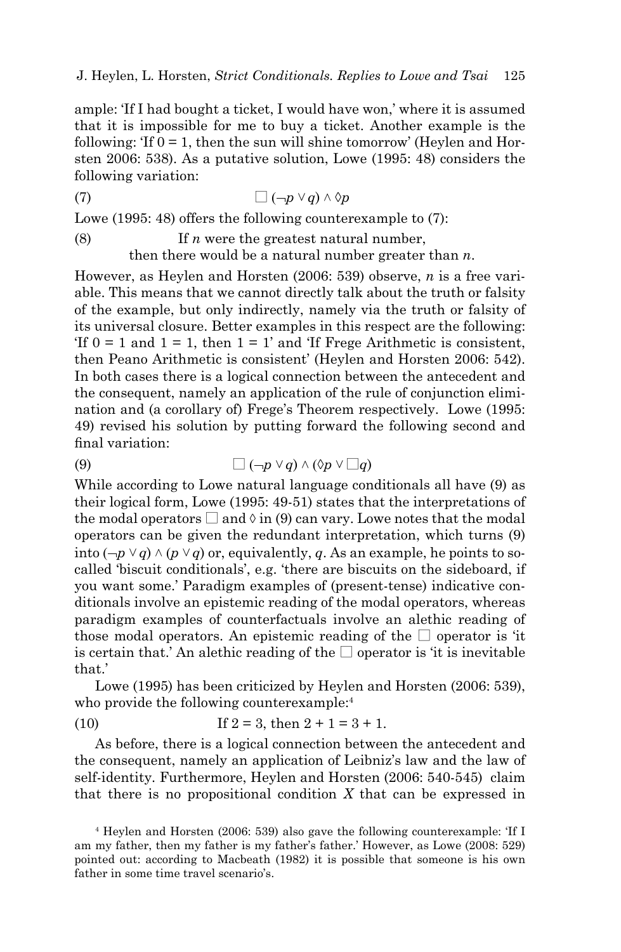ample: 'If I had bought a ticket, I would have won,' where it is assumed that it is impossible for me to buy a ticket. Another example is the following: 'If  $0 = 1$ , then the sun will shine tomorrow' (Heylen and Horsten 2006: 538). As a putative solution, Lowe (1995: 48) considers the following variation:

$$
(7) \qquad \qquad \Box \left( \neg p \vee q \right) \wedge \Diamond p
$$

Lowe (1995: 48) offers the following counterexample to (7):

(8) If *n* were the greatest natural number, then there would be a natural number greater than *n*.

However, as Heylen and Horsten (2006: 539) observe, *n* is a free variable. This means that we cannot directly talk about the truth or falsity of the example, but only indirectly, namely via the truth or falsity of its universal closure. Better examples in this respect are the following: 'If  $0 = 1$  and  $1 = 1$ , then  $1 = 1$ ' and 'If Frege Arithmetic is consistent, then Peano Arithmetic is consistent' (Heylen and Horsten 2006: 542). In both cases there is a logical connection between the antecedent and the consequent, namely an application of the rule of conjunction elimination and (a corollary of) Frege's Theorem respectively. Lowe (1995: 49) revised his solution by putting forward the following second and final variation:

(9)  $\Box(\neg p \lor q) \land (\Diamond p \lor \Box q)$ 

While according to Lowe natural language conditionals all have (9) as their logical form, Lowe (1995: 49-51) states that the interpretations of the modal operators  $\Box$  and  $\Diamond$  in (9) can vary. Lowe notes that the modal operators can be given the redundant interpretation, which turns (9) into  $(\neg p \lor q) \land (p \lor q)$  or, equivalently, *q*. As an example, he points to socalled 'biscuit conditionals', e.g. 'there are biscuits on the sideboard, if you want some.' Paradigm examples of (present-tense) indicative conditionals involve an epistemic reading of the modal operators, whereas paradigm examples of counterfactuals involve an alethic reading of those modal operators. An epistemic reading of the  $\square$  operator is 'it is certain that.' An alethic reading of the  $\square$  operator is 'it is inevitable that.'

Lowe (1995) has been criticized by Heylen and Horsten (2006: 539), who provide the following counterexample:<sup>4</sup>

(10) If 
$$
2 = 3
$$
, then  $2 + 1 = 3 + 1$ .

As before, there is a logical connection between the antecedent and the consequent, namely an application of Leibniz's law and the law of self-identity. Furthermore, Heylen and Horsten (2006: 540-545) claim that there is no propositional condition *X* that can be expressed in

<sup>4</sup> Heylen and Horsten (2006: 539) also gave the following counterexample: 'If I am my father, then my father is my father's father.' However, as Lowe (2008: 529) pointed out: according to Macbeath (1982) it is possible that someone is his own father in some time travel scenario's.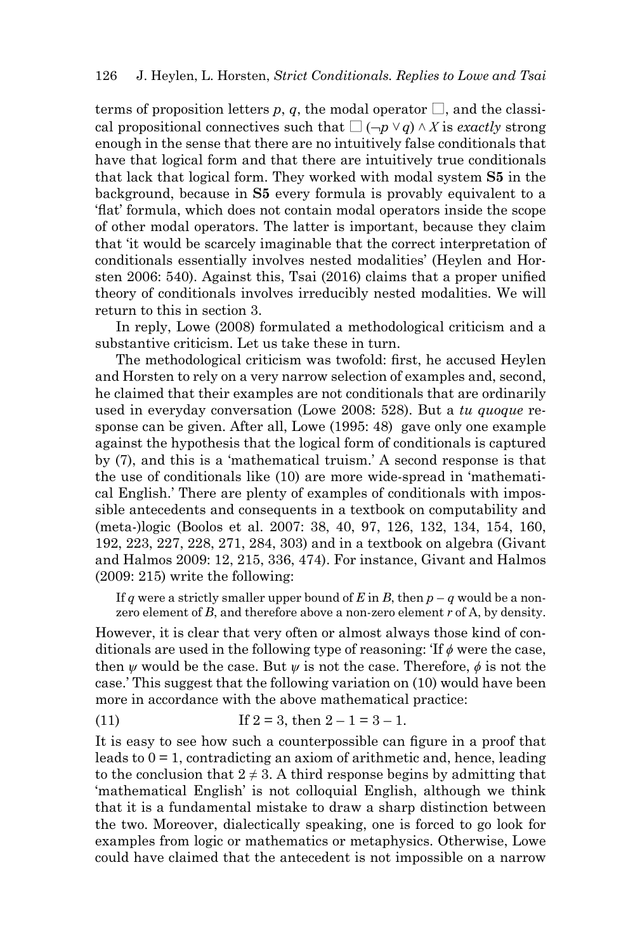terms of proposition letters *p*, *q*, the modal operator  $\Box$ , and the classical propositional connectives such that  $\Box$  ( $\neg p \lor q$ )  $\land$  *X* is *exactly* strong enough in the sense that there are no intuitively false conditionals that have that logical form and that there are intuitively true conditionals that lack that logical form. They worked with modal system **S5** in the background, because in **S5** every formula is provably equivalent to a 'fl at' formula, which does not contain modal operators inside the scope of other modal operators. The latter is important, because they claim that 'it would be scarcely imaginable that the correct interpretation of conditionals essentially involves nested modalities' (Heylen and Horsten  $2006$ : 540). Against this, Tsai  $(2016)$  claims that a proper unified theory of conditionals involves irreducibly nested modalities. We will return to this in section 3.

In reply, Lowe (2008) formulated a methodological criticism and a substantive criticism. Let us take these in turn.

The methodological criticism was twofold: first, he accused Heylen and Horsten to rely on a very narrow selection of examples and, second, he claimed that their examples are not conditionals that are ordinarily used in everyday conversation (Lowe 2008: 528). But a *tu quoque* response can be given. After all, Lowe (1995: 48) gave only one example against the hypothesis that the logical form of conditionals is captured by (7), and this is a 'mathematical truism.' A second response is that the use of conditionals like (10) are more wide-spread in 'mathematical English.' There are plenty of examples of conditionals with impossible antecedents and consequents in a textbook on computability and (meta-)logic (Boolos et al. 2007: 38, 40, 97, 126, 132, 134, 154, 160, 192, 223, 227, 228, 271, 284, 303) and in a textbook on algebra (Givant and Halmos 2009: 12, 215, 336, 474). For instance, Givant and Halmos (2009: 215) write the following:

If *q* were a strictly smaller upper bound of *E* in *B*, then  $p - q$  would be a nonzero element of *B*, and therefore above a non-zero element *r* of A, by density.

However, it is clear that very often or almost always those kind of conditionals are used in the following type of reasoning:  $\text{If } \phi$  were the case, then *ѱ* would be the case. But *ѱ* is not the case. Therefore, *ϕ* is not the case.' This suggest that the following variation on (10) would have been more in accordance with the above mathematical practice:

(11) If  $2 = 3$ , then  $2 - 1 = 3 - 1$ .

It is easy to see how such a counterpossible can figure in a proof that leads to  $0 = 1$ , contradicting an axiom of arithmetic and, hence, leading to the conclusion that  $2 \neq 3$ . A third response begins by admitting that 'mathematical English' is not colloquial English, although we think that it is a fundamental mistake to draw a sharp distinction between the two. Moreover, dialectically speaking, one is forced to go look for examples from logic or mathematics or metaphysics. Otherwise, Lowe could have claimed that the antecedent is not impossible on a narrow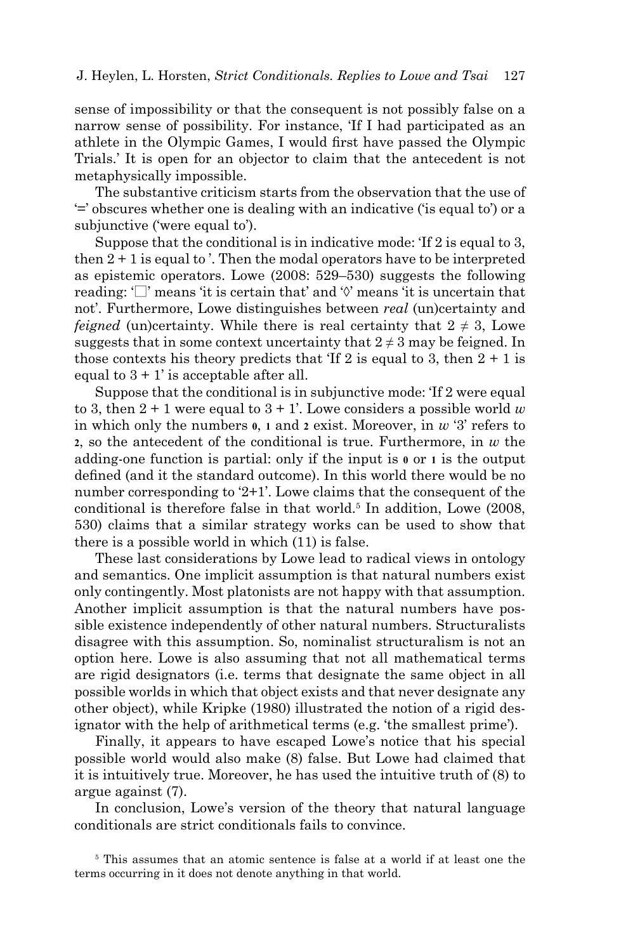sense of impossibility or that the consequent is not possibly false on a narrow sense of possibility. For instance, 'If I had participated as an athlete in the Olympic Games, I would first have passed the Olympic Trials.' It is open for an objector to claim that the antecedent is not metaphysically impossible.

The substantive criticism starts from the observation that the use of '=' obscures whether one is dealing with an indicative ('is equal to') or a subjunctive ('were equal to').

Suppose that the conditional is in indicative mode: 'If 2 is equal to 3, then  $2 + 1$  is equal to. Then the modal operators have to be interpreted as epistemic operators. Lowe (2008: 529–530) suggests the following reading:  $\Box$  means 'it is certain that' and ' $\Diamond$ ' means 'it is uncertain that not'. Furthermore, Lowe distinguishes between *real* (un)certainty and *feigned* (un)certainty. While there is real certainty that  $2 \neq 3$ , Lowe suggests that in some context uncertainty that  $2 \neq 3$  may be feigned. In those contexts his theory predicts that 'If 2 is equal to 3, then  $2 + 1$  is equal to  $3 + 1$  is acceptable after all.

Suppose that the conditional is in subjunctive mode: 'If 2 were equal to 3, then  $2 + 1$  were equal to  $3 + 1$ '. Lowe considers a possible world *w* in which only the numbers **0**, **1** and **2** exist. Moreover, in *w* '3' refers to **2**, so the antecedent of the conditional is true. Furthermore, in *w* the adding-one function is partial: only if the input is **0** or **1** is the output defined (and it the standard outcome). In this world there would be no number corresponding to '2+1'. Lowe claims that the consequent of the conditional is therefore false in that world.<sup>5</sup> In addition, Lowe (2008, 530) claims that a similar strategy works can be used to show that there is a possible world in which (11) is false.

These last considerations by Lowe lead to radical views in ontology and semantics. One implicit assumption is that natural numbers exist only contingently. Most platonists are not happy with that assumption. Another implicit assumption is that the natural numbers have possible existence independently of other natural numbers. Structuralists disagree with this assumption. So, nominalist structuralism is not an option here. Lowe is also assuming that not all mathematical terms are rigid designators (i.e. terms that designate the same object in all possible worlds in which that object exists and that never designate any other object), while Kripke (1980) illustrated the notion of a rigid designator with the help of arithmetical terms (e.g. 'the smallest prime').

Finally, it appears to have escaped Lowe's notice that his special possible world would also make (8) false. But Lowe had claimed that it is intuitively true. Moreover, he has used the intuitive truth of (8) to argue against (7).

In conclusion, Lowe's version of the theory that natural language conditionals are strict conditionals fails to convince.

5 This assumes that an atomic sentence is false at a world if at least one the terms occurring in it does not denote anything in that world.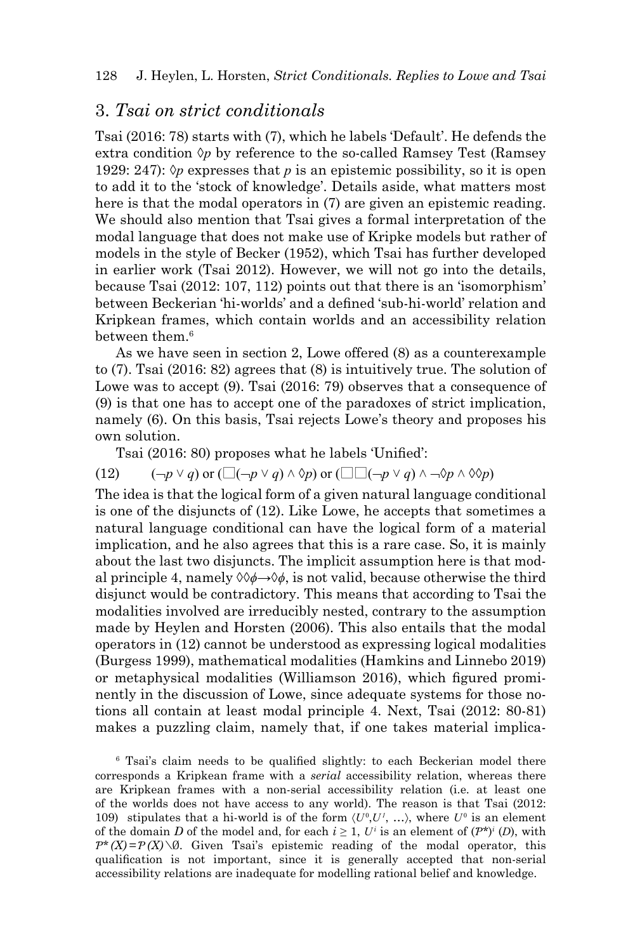### 3. *Tsai on strict conditionals*

Tsai (2016: 78) starts with (7), which he labels 'Default'. He defends the extra condition  $\Diamond p$  by reference to the so-called Ramsey Test (Ramsey 1929: 247):  $\Diamond p$  expresses that *p* is an epistemic possibility, so it is open to add it to the 'stock of knowledge'. Details aside, what matters most here is that the modal operators in (7) are given an epistemic reading. We should also mention that Tsai gives a formal interpretation of the modal language that does not make use of Kripke models but rather of models in the style of Becker (1952), which Tsai has further developed in earlier work (Tsai 2012). However, we will not go into the details, because Tsai (2012: 107, 112) points out that there is an 'isomorphism' between Beckerian 'hi-worlds' and a defined 'sub-hi-world' relation and Kripkean frames, which contain worlds and an accessibility relation between them.<sup>6</sup>

As we have seen in section 2, Lowe offered (8) as a counterexample to (7). Tsai (2016: 82) agrees that (8) is intuitively true. The solution of Lowe was to accept (9). Tsai (2016: 79) observes that a consequence of (9) is that one has to accept one of the paradoxes of strict implication, namely (6). On this basis, Tsai rejects Lowe's theory and proposes his own solution.

Tsai (2016: 80) proposes what he labels 'Unified':

(12)  $(\neg p \lor q)$  or  $(\Box(\neg p \lor q) \land \Diamond p)$  or  $(\Box \Box(\neg p \lor q) \land \neg \Diamond p \land \Diamond \Diamond p)$ 

The idea is that the logical form of a given natural language conditional is one of the disjuncts of (12). Like Lowe, he accepts that sometimes a natural language conditional can have the logical form of a material implication, and he also agrees that this is a rare case. So, it is mainly about the last two disjuncts. The implicit assumption here is that modal principle 4, namely ◊◊*ϕ→*◊*ϕ*, is not valid, because otherwise the third disjunct would be contradictory. This means that according to Tsai the modalities involved are irreducibly nested, contrary to the assumption made by Heylen and Horsten (2006). This also entails that the modal operators in (12) cannot be understood as expressing logical modalities (Burgess 1999), mathematical modalities (Hamkins and Linnebo 2019) or metaphysical modalities (Williamson 2016), which figured prominently in the discussion of Lowe, since adequate systems for those notions all contain at least modal principle 4. Next, Tsai (2012: 80-81) makes a puzzling claim, namely that, if one takes material implica-

<sup>6</sup> Tsai's claim needs to be qualified slightly: to each Beckerian model there corresponds a Kripkean frame with a *serial* accessibility relation, whereas there are Kripkean frames with a non-serial accessibility relation (i.e. at least one of the worlds does not have access to any world). The reason is that Tsai (2012: 109) stipulates that a hi-world is of the form  $\langle U^0, U^1, \ldots \rangle$ , where  $U^0$  is an element of the domain *D* of the model and, for each  $i \geq 1$ ,  $U^i$  is an element of  $(P^*)^i$  (*D*), with  $P^*(X) = P(X) \setminus \emptyset$ . Given Tsai's epistemic reading of the modal operator, this qualification is not important, since it is generally accepted that non-serial accessibility relations are inadequate for modelling rational belief and knowledge.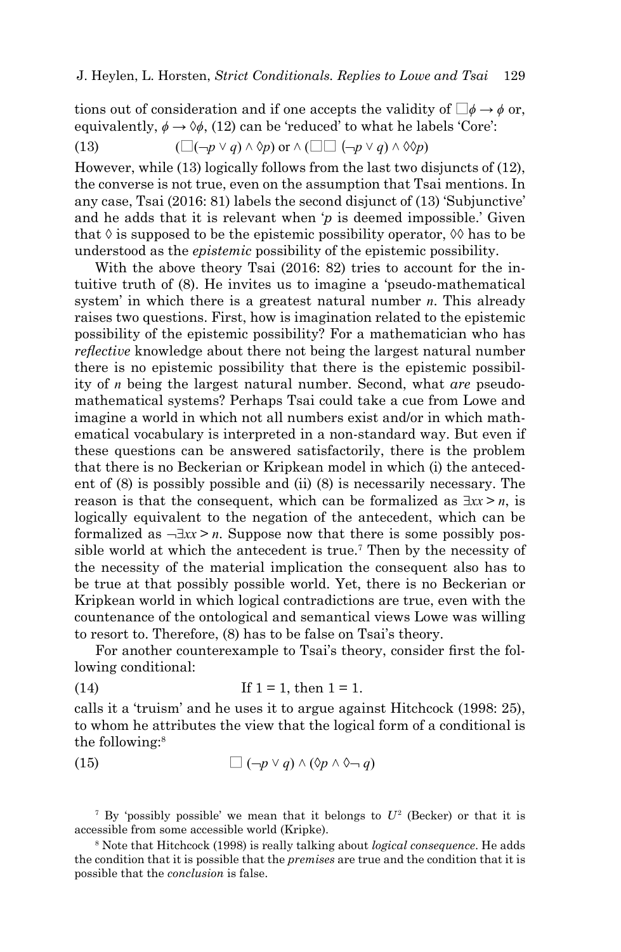tions out of consideration and if one accepts the validity of  $\square \phi \rightarrow \phi$  or, equivalently,  $\phi \rightarrow \Diamond \phi$ , (12) can be 'reduced' to what he labels 'Core':

(13) 
$$
(\Box(\neg p \lor q) \land \Diamond p) \text{ or } \land (\Box \Box (\neg p \lor q) \land \Diamond \Diamond p)
$$

However, while (13) logically follows from the last two disjuncts of (12), the converse is not true, even on the assumption that Tsai mentions. In any case, Tsai (2016: 81) labels the second disjunct of (13) 'Subjunctive' and he adds that it is relevant when '*p* is deemed impossible.' Given that  $\Diamond$  is supposed to be the epistemic possibility operator,  $\Diamond \Diamond$  has to be understood as the *epistemic* possibility of the epistemic possibility.

With the above theory Tsai (2016: 82) tries to account for the intuitive truth of (8). He invites us to imagine a 'pseudo-mathematical system' in which there is a greatest natural number *n*. This already raises two questions. First, how is imagination related to the epistemic possibility of the epistemic possibility? For a mathematician who has *reflective* knowledge about there not being the largest natural number there is no epistemic possibility that there is the epistemic possibility of *n* being the largest natural number. Second, what *are* pseudomathematical systems? Perhaps Tsai could take a cue from Lowe and imagine a world in which not all numbers exist and/or in which mathematical vocabulary is interpreted in a non-standard way. But even if these questions can be answered satisfactorily, there is the problem that there is no Beckerian or Kripkean model in which (i) the antecedent of (8) is possibly possible and (ii) (8) is necessarily necessary. The reason is that the consequent, which can be formalized as  $\exists x \geq n$ , is logically equivalent to the negation of the antecedent, which can be formalized as  $-\exists x x > n$ . Suppose now that there is some possibly possible world at which the antecedent is true.<sup>7</sup> Then by the necessity of the necessity of the material implication the consequent also has to be true at that possibly possible world. Yet, there is no Beckerian or Kripkean world in which logical contradictions are true, even with the countenance of the ontological and semantical views Lowe was willing to resort to. Therefore, (8) has to be false on Tsai's theory.

For another counterexample to Tsai's theory, consider first the following conditional:

(14) If 
$$
1 = 1
$$
, then  $1 = 1$ .

calls it a 'truism' and he uses it to argue against Hitchcock (1998: 25), to whom he attributes the view that the logical form of a conditional is the following:8

(15) 
$$
\Box(\neg p \lor q) \land (\Diamond p \land \Diamond \neg q)
$$

<sup>7</sup> By 'possibly possible' we mean that it belongs to  $U^2$  (Becker) or that it is accessible from some accessible world (Kripke).

8 Note that Hitchcock (1998) is really talking about *logical consequence*. He adds the condition that it is possible that the *premises* are true and the condition that it is possible that the *conclusion* is false.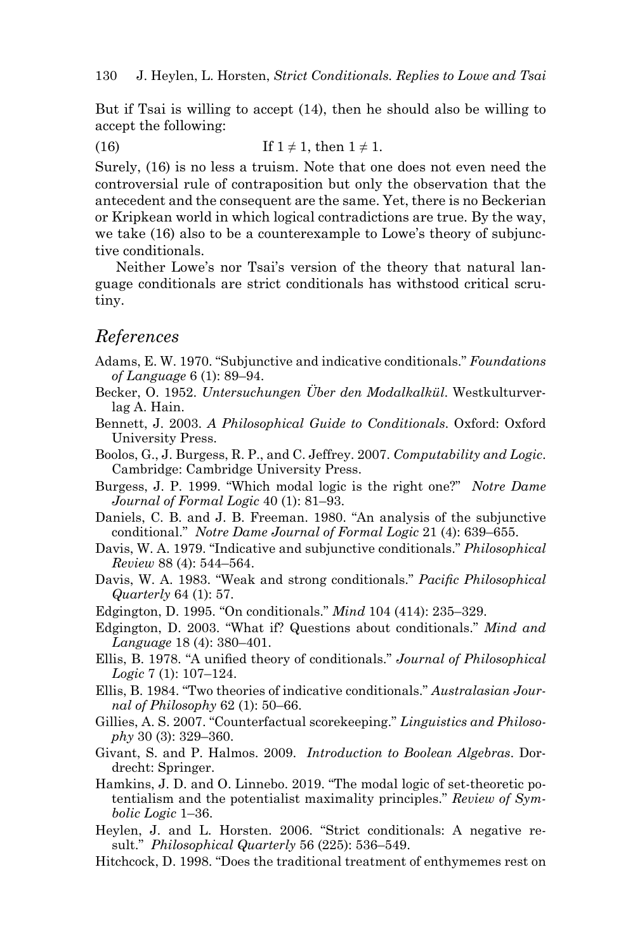But if Tsai is willing to accept (14), then he should also be willing to accept the following:

(16) If  $1 \neq 1$ , then  $1 \neq 1$ .

Surely, (16) is no less a truism. Note that one does not even need the controversial rule of contraposition but only the observation that the antecedent and the consequent are the same. Yet, there is no Beckerian or Kripkean world in which logical contradictions are true. By the way, we take (16) also to be a counterexample to Lowe's theory of subjunctive conditionals.

Neither Lowe's nor Tsai's version of the theory that natural language conditionals are strict conditionals has withstood critical scrutiny.

#### *References*

- Adams, E. W. 1970. "Subjunctive and indicative conditionals." *Foundations of Language* 6 (1): 89–94.
- Becker, O. 1952. *Untersuchungen Über den Modalkalkül*. Westkulturverlag A. Hain.
- Bennett, J. 2003. *A Philosophical Guide to Conditionals*. Oxford: Oxford University Press.
- Boolos, G., J. Burgess, R. P., and C. Jeffrey. 2007. *Computability and Logic*. Cambridge: Cambridge University Press.
- Burgess, J. P. 1999. "Which modal logic is the right one?" *Notre Dame Journal of Formal Logic* 40 (1): 81–93.
- Daniels, C. B. and J. B. Freeman. 1980. "An analysis of the subjunctive conditional." *Notre Dame Journal of Formal Logic* 21 (4): 639–655.
- Davis, W. A. 1979. "Indicative and subjunctive conditionals." *Philosophical Review* 88 (4): 544–564.
- Davis, W. A. 1983. "Weak and strong conditionals." *Pacific Philosophical Quarterly* 64 (1): 57.
- Edgington, D. 1995. "On conditionals." *Mind* 104 (414): 235–329.
- Edgington, D. 2003. "What if? Questions about conditionals." *Mind and Language* 18 (4): 380–401.
- Ellis, B. 1978. "A unified theory of conditionals." *Journal of Philosophical Logic* 7 (1): 107–124.
- Ellis, B. 1984. "Two theories of indicative conditionals." *Australasian Journal of Philosophy* 62 (1): 50–66.
- Gillies, A. S. 2007. "Counterfactual scorekeeping." *Linguistics and Philosophy* 30 (3): 329–360.
- Givant, S. and P. Halmos. 2009. *Introduction to Boolean Algebras*. Dordrecht: Springer.
- Hamkins, J. D. and O. Linnebo. 2019. "The modal logic of set-theoretic potentialism and the potentialist maximality principles." *Review of Symbolic Logic* 1–36.
- Heylen, J. and L. Horsten. 2006. "Strict conditionals: A negative result." *Philosophical Quarterly* 56 (225): 536–549.
- Hitchcock, D. 1998. "Does the traditional treatment of enthymemes rest on